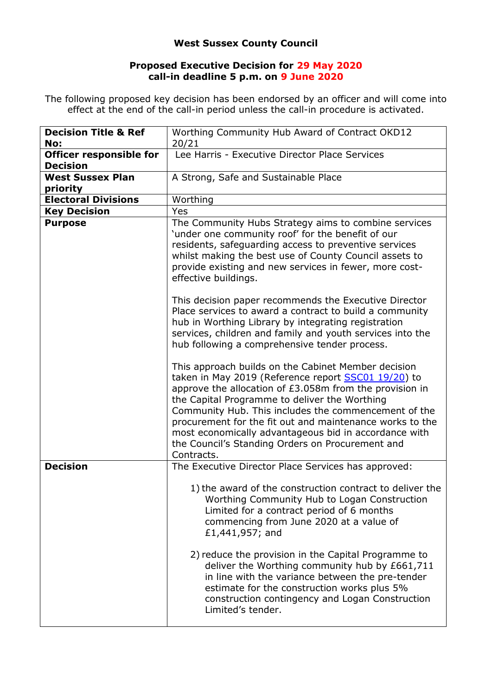## **West Sussex County Council**

## **Proposed Executive Decision for 29 May 2020 call-in deadline 5 p.m. on 9 June 2020**

The following proposed key decision has been endorsed by an officer and will come into effect at the end of the call-in period unless the call-in procedure is activated.

| <b>Decision Title &amp; Ref</b><br>No: | Worthing Community Hub Award of Contract OKD12<br>20/21                                                                                                                                                                                                                                                                                                                                                                                                               |
|----------------------------------------|-----------------------------------------------------------------------------------------------------------------------------------------------------------------------------------------------------------------------------------------------------------------------------------------------------------------------------------------------------------------------------------------------------------------------------------------------------------------------|
| <b>Officer responsible for</b>         | Lee Harris - Executive Director Place Services                                                                                                                                                                                                                                                                                                                                                                                                                        |
| <b>Decision</b>                        |                                                                                                                                                                                                                                                                                                                                                                                                                                                                       |
| <b>West Sussex Plan</b>                | A Strong, Safe and Sustainable Place                                                                                                                                                                                                                                                                                                                                                                                                                                  |
| priority                               |                                                                                                                                                                                                                                                                                                                                                                                                                                                                       |
| <b>Electoral Divisions</b>             | Worthing                                                                                                                                                                                                                                                                                                                                                                                                                                                              |
| <b>Key Decision</b>                    | Yes                                                                                                                                                                                                                                                                                                                                                                                                                                                                   |
| <b>Purpose</b>                         | The Community Hubs Strategy aims to combine services<br>'under one community roof' for the benefit of our<br>residents, safeguarding access to preventive services<br>whilst making the best use of County Council assets to<br>provide existing and new services in fewer, more cost-<br>effective buildings.                                                                                                                                                        |
|                                        | This decision paper recommends the Executive Director<br>Place services to award a contract to build a community<br>hub in Worthing Library by integrating registration<br>services, children and family and youth services into the<br>hub following a comprehensive tender process.                                                                                                                                                                                 |
|                                        | This approach builds on the Cabinet Member decision<br>taken in May 2019 (Reference report SSC01 19/20) to<br>approve the allocation of £3.058m from the provision in<br>the Capital Programme to deliver the Worthing<br>Community Hub. This includes the commencement of the<br>procurement for the fit out and maintenance works to the<br>most economically advantageous bid in accordance with<br>the Council's Standing Orders on Procurement and<br>Contracts. |
| <b>Decision</b>                        | The Executive Director Place Services has approved:                                                                                                                                                                                                                                                                                                                                                                                                                   |
|                                        | 1) the award of the construction contract to deliver the<br>Worthing Community Hub to Logan Construction<br>Limited for a contract period of 6 months<br>commencing from June 2020 at a value of<br>£1,441,957; and                                                                                                                                                                                                                                                   |
|                                        | 2) reduce the provision in the Capital Programme to<br>deliver the Worthing community hub by £661,711<br>in line with the variance between the pre-tender<br>estimate for the construction works plus 5%<br>construction contingency and Logan Construction<br>Limited's tender.                                                                                                                                                                                      |